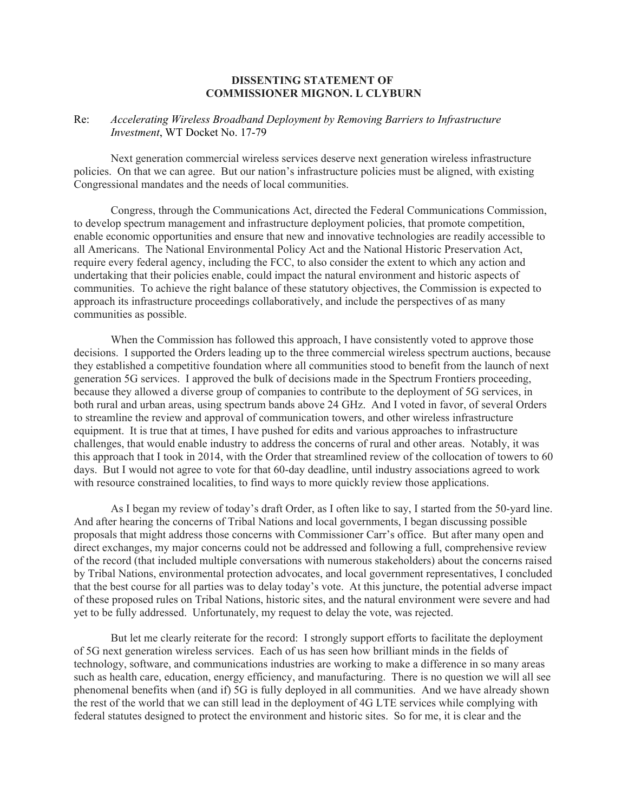## **DISSENTING STATEMENT OF COMMISSIONER MIGNON. L CLYBURN**

## Re: *Accelerating Wireless Broadband Deployment by Removing Barriers to Infrastructure Investment*, WT Docket No. 17-79

Next generation commercial wireless services deserve next generation wireless infrastructure policies. On that we can agree. But our nation's infrastructure policies must be aligned, with existing Congressional mandates and the needs of local communities.

Congress, through the Communications Act, directed the Federal Communications Commission, to develop spectrum management and infrastructure deployment policies, that promote competition, enable economic opportunities and ensure that new and innovative technologies are readily accessible to all Americans. The National Environmental Policy Act and the National Historic Preservation Act, require every federal agency, including the FCC, to also consider the extent to which any action and undertaking that their policies enable, could impact the natural environment and historic aspects of communities. To achieve the right balance of these statutory objectives, the Commission is expected to approach its infrastructure proceedings collaboratively, and include the perspectives of as many communities as possible.

When the Commission has followed this approach, I have consistently voted to approve those decisions. I supported the Orders leading up to the three commercial wireless spectrum auctions, because they established a competitive foundation where all communities stood to benefit from the launch of next generation 5G services. I approved the bulk of decisions made in the Spectrum Frontiers proceeding, because they allowed a diverse group of companies to contribute to the deployment of 5G services, in both rural and urban areas, using spectrum bands above 24 GHz. And I voted in favor, of several Orders to streamline the review and approval of communication towers, and other wireless infrastructure equipment. It is true that at times, I have pushed for edits and various approaches to infrastructure challenges, that would enable industry to address the concerns of rural and other areas. Notably, it was this approach that I took in 2014, with the Order that streamlined review of the collocation of towers to 60 days. But I would not agree to vote for that 60-day deadline, until industry associations agreed to work with resource constrained localities, to find ways to more quickly review those applications.

As I began my review of today's draft Order, as I often like to say, I started from the 50-yard line. And after hearing the concerns of Tribal Nations and local governments, I began discussing possible proposals that might address those concerns with Commissioner Carr's office. But after many open and direct exchanges, my major concerns could not be addressed and following a full, comprehensive review of the record (that included multiple conversations with numerous stakeholders) about the concerns raised by Tribal Nations, environmental protection advocates, and local government representatives, I concluded that the best course for all parties was to delay today's vote. At this juncture, the potential adverse impact of these proposed rules on Tribal Nations, historic sites, and the natural environment were severe and had yet to be fully addressed. Unfortunately, my request to delay the vote, was rejected.

But let me clearly reiterate for the record: I strongly support efforts to facilitate the deployment of 5G next generation wireless services. Each of us has seen how brilliant minds in the fields of technology, software, and communications industries are working to make a difference in so many areas such as health care, education, energy efficiency, and manufacturing. There is no question we will all see phenomenal benefits when (and if) 5G is fully deployed in all communities. And we have already shown the rest of the world that we can still lead in the deployment of 4G LTE services while complying with federal statutes designed to protect the environment and historic sites. So for me, it is clear and the